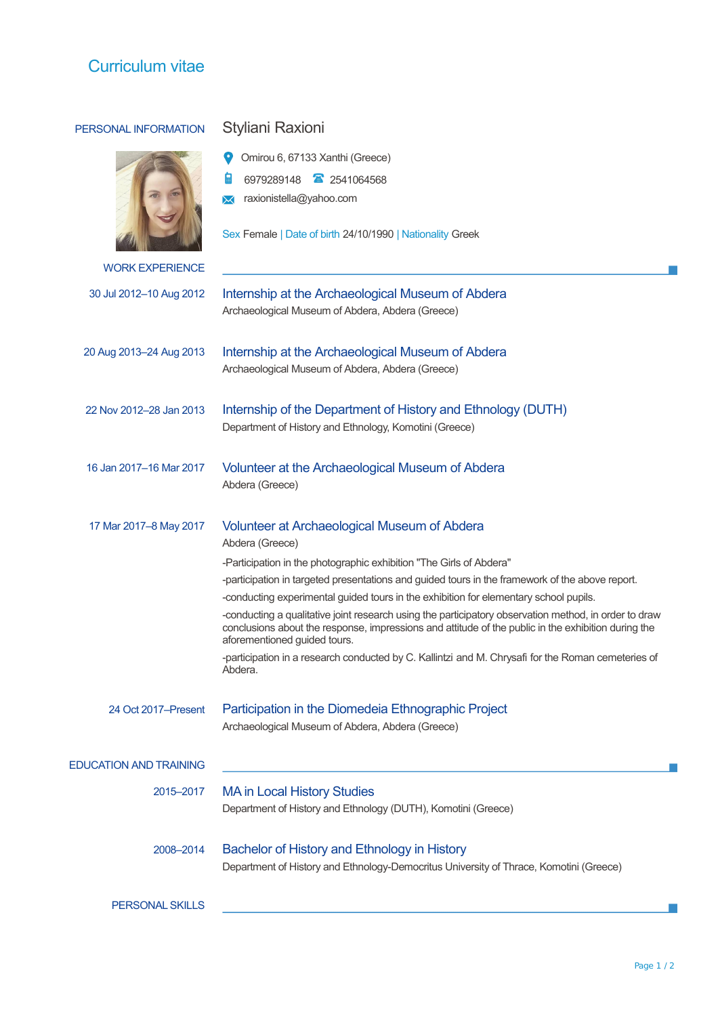## Curriculum vitae

## PERSONAL INFORMATION Styliani Raxioni Omirou 6, 67133 Xanthi (Greece) g 6979289148 2541064568 **X** raxionistella@yahoo.com Sex Female | Date of birth 24/10/1990 | Nationality Greek WORK EXPERIENCE 30 Jul 2012–10 Aug 2012 Internship at the Archaeological Museum of Abdera Archaeological Museum of Abdera, Abdera (Greece) 20 Aug 2013–24 Aug 2013 Internship at the Archaeological Museum of Abdera Archaeological Museum of Abdera, Abdera (Greece) 22 Nov 2012–28 Jan 2013 Internship of the Department of History and Ethnology (DUTH) Department of History and Ethnology, Komotini (Greece) 16 Jan 2017–16 Mar 2017 Volunteer at the Archaeological Museum of Abdera Abdera (Greece) 17 Mar 2017–8 May 2017 Volunteer at Archaeological Museum of Abdera Abdera (Greece) -Participation in the photographic exhibition "The Girls of Abdera" -participation in targeted presentations and guided tours in the framework of the above report. -conducting experimental guided tours in the exhibition for elementary school pupils. -conducting a qualitative joint research using the participatory observation method, in order to draw conclusions about the response, impressions and attitude of the public in the exhibition during the aforementioned guided tours. -participation in a research conducted by C. Kallintzi and M. Chrysafi for the Roman cemeteries of Abdera. 24 Oct 2017–Present Participation in the Diomedeia Ethnographic Project Archaeological Museum of Abdera, Abdera (Greece) EDUCATION AND TRAINING 2015–2017 MA in Local History Studies Department of History and Ethnology (DUTH), Komotini (Greece) 2008–2014 Bachelor of History and Ethnology in History Department of History and Ethnology-Democritus University of Thrace, Komotini (Greece) PERSONAL SKILLS